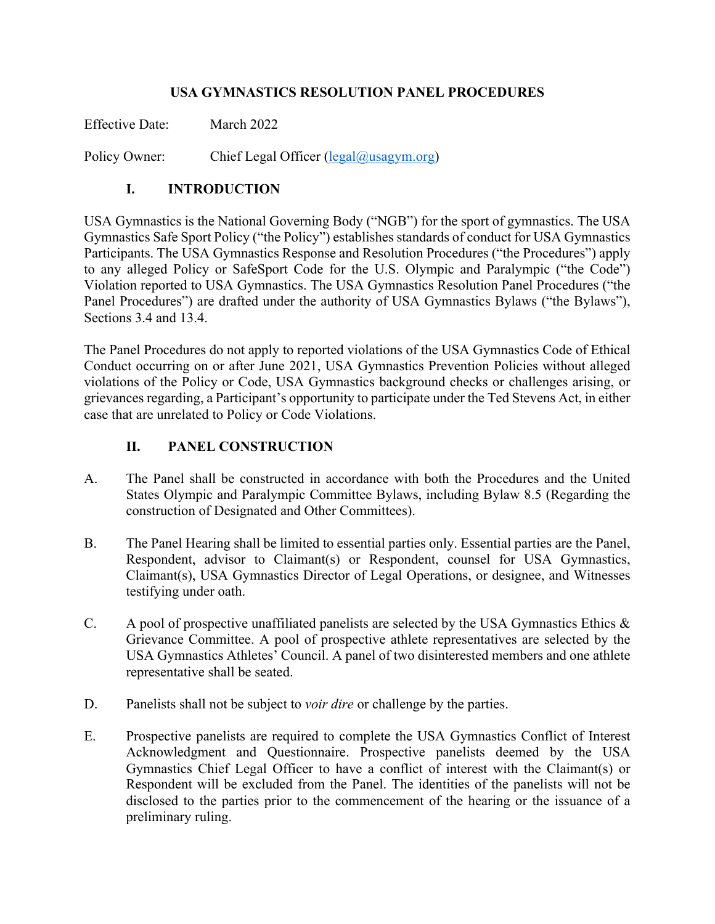#### **USA GYMNASTICS RESOLUTION PANEL PROCEDURES**

Effective Date: March 2022

Policy Owner: Chief Legal Officer (legal@usagym.org)

### **I. INTRODUCTION**

USA Gymnastics is the National Governing Body ("NGB") for the sport of gymnastics. The USA Gymnastics Safe Sport Policy ("the Policy") establishes standards of conduct for USA Gymnastics Participants. The USA Gymnastics Response and Resolution Procedures ("the Procedures") apply to any alleged Policy or SafeSport Code for the U.S. Olympic and Paralympic ("the Code") Violation reported to USA Gymnastics. The USA Gymnastics Resolution Panel Procedures ("the Panel Procedures") are drafted under the authority of USA Gymnastics Bylaws ("the Bylaws"), Sections 3.4 and 13.4.

The Panel Procedures do not apply to reported violations of the USA Gymnastics Code of Ethical Conduct occurring on or after June 2021, USA Gymnastics Prevention Policies without alleged violations of the Policy or Code, USA Gymnastics background checks or challenges arising, or grievances regarding, a Participant's opportunity to participate under the Ted Stevens Act, in either case that are unrelated to Policy or Code Violations.

#### **II. PANEL CONSTRUCTION**

- A. The Panel shall be constructed in accordance with both the Procedures and the United States Olympic and Paralympic Committee Bylaws, including Bylaw 8.5 (Regarding the construction of Designated and Other Committees).
- B. The Panel Hearing shall be limited to essential parties only. Essential parties are the Panel, Respondent, advisor to Claimant(s) or Respondent, counsel for USA Gymnastics, Claimant(s), USA Gymnastics Director of Legal Operations, or designee, and Witnesses testifying under oath.
- C. A pool of prospective unaffiliated panelists are selected by the USA Gymnastics Ethics & Grievance Committee. A pool of prospective athlete representatives are selected by the USA Gymnastics Athletes' Council. A panel of two disinterested members and one athlete representative shall be seated.
- D. Panelists shall not be subject to *voir dire* or challenge by the parties.
- E. Prospective panelists are required to complete the USA Gymnastics Conflict of Interest Acknowledgment and Questionnaire. Prospective panelists deemed by the USA Gymnastics Chief Legal Officer to have a conflict of interest with the Claimant(s) or Respondent will be excluded from the Panel. The identities of the panelists will not be disclosed to the parties prior to the commencement of the hearing or the issuance of a preliminary ruling.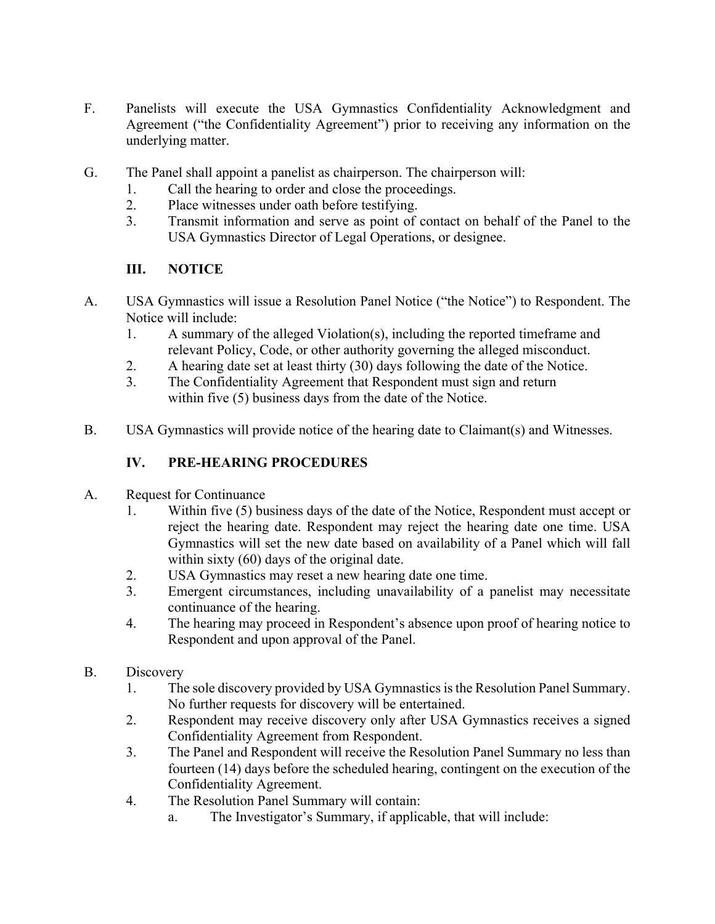- F. Panelists will execute the USA Gymnastics Confidentiality Acknowledgment and Agreement ("the Confidentiality Agreement") prior to receiving any information on the underlying matter.
- G. The Panel shall appoint a panelist as chairperson. The chairperson will:
	- 1. Call the hearing to order and close the proceedings.
	- 2. Place witnesses under oath before testifying.
	- 3. Transmit information and serve as point of contact on behalf of the Panel to the USA Gymnastics Director of Legal Operations, or designee.

# **III. NOTICE**

- A. USA Gymnastics will issue a Resolution Panel Notice ("the Notice") to Respondent. The Notice will include:
	- 1. A summary of the alleged Violation(s), including the reported timeframe and relevant Policy, Code, or other authority governing the alleged misconduct.
	- 2. A hearing date set at least thirty (30) days following the date of the Notice.
	- 3. The Confidentiality Agreement that Respondent must sign and return within five (5) business days from the date of the Notice.
- B. USA Gymnastics will provide notice of the hearing date to Claimant(s) and Witnesses.

# **IV. PRE-HEARING PROCEDURES**

- A. Request for Continuance
	- 1. Within five (5) business days of the date of the Notice, Respondent must accept or reject the hearing date. Respondent may reject the hearing date one time. USA Gymnastics will set the new date based on availability of a Panel which will fall within sixty (60) days of the original date.
	- 2. USA Gymnastics may reset a new hearing date one time.
	- 3. Emergent circumstances, including unavailability of a panelist may necessitate continuance of the hearing.
	- 4. The hearing may proceed in Respondent's absence upon proof of hearing notice to Respondent and upon approval of the Panel.
- B. Discovery
	- 1. The sole discovery provided by USA Gymnastics is the Resolution Panel Summary. No further requests for discovery will be entertained.
	- 2. Respondent may receive discovery only after USA Gymnastics receives a signed Confidentiality Agreement from Respondent.
	- 3. The Panel and Respondent will receive the Resolution Panel Summary no less than fourteen (14) days before the scheduled hearing, contingent on the execution of the Confidentiality Agreement.
	- 4. The Resolution Panel Summary will contain:
		- a. The Investigator's Summary, if applicable, that will include: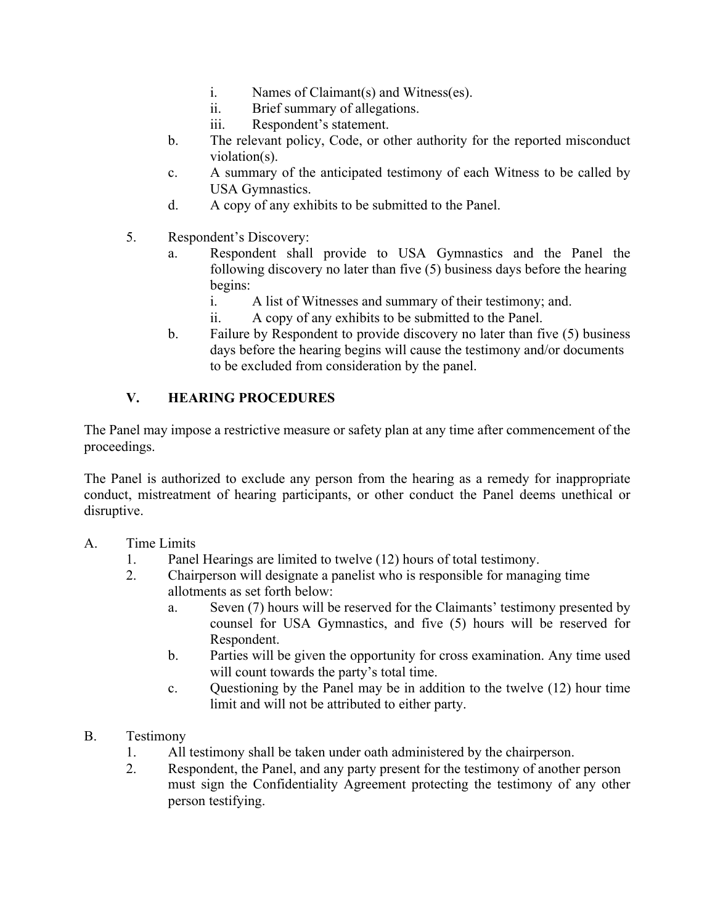- i. Names of Claimant(s) and Witness(es).
- ii. Brief summary of allegations.
- iii. Respondent's statement.
- b. The relevant policy, Code, or other authority for the reported misconduct violation(s).
- c. A summary of the anticipated testimony of each Witness to be called by USA Gymnastics.
- d. A copy of any exhibits to be submitted to the Panel.
- 5. Respondent's Discovery:
	- a. Respondent shall provide to USA Gymnastics and the Panel the following discovery no later than five (5) business days before the hearing begins:
		- i. A list of Witnesses and summary of their testimony; and.
		- ii. A copy of any exhibits to be submitted to the Panel.
	- b. Failure by Respondent to provide discovery no later than five (5) business days before the hearing begins will cause the testimony and/or documents to be excluded from consideration by the panel.

# **V. HEARING PROCEDURES**

The Panel may impose a restrictive measure or safety plan at any time after commencement of the proceedings.

The Panel is authorized to exclude any person from the hearing as a remedy for inappropriate conduct, mistreatment of hearing participants, or other conduct the Panel deems unethical or disruptive.

#### A. Time Limits

- 1. Panel Hearings are limited to twelve (12) hours of total testimony.
- 2. Chairperson will designate a panelist who is responsible for managing time allotments as set forth below:
	- a. Seven (7) hours will be reserved for the Claimants' testimony presented by counsel for USA Gymnastics, and five (5) hours will be reserved for Respondent.
	- b. Parties will be given the opportunity for cross examination. Any time used will count towards the party's total time.
	- c. Questioning by the Panel may be in addition to the twelve (12) hour time limit and will not be attributed to either party.
- B. Testimony
	- 1. All testimony shall be taken under oath administered by the chairperson.
	- 2. Respondent, the Panel, and any party present for the testimony of another person must sign the Confidentiality Agreement protecting the testimony of any other person testifying.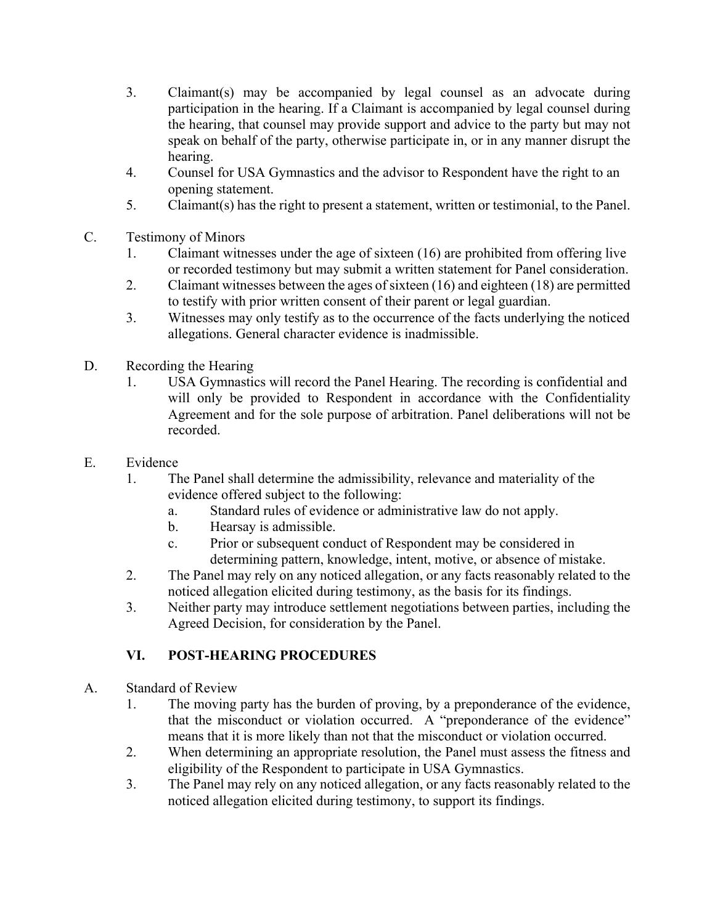- 3. Claimant(s) may be accompanied by legal counsel as an advocate during participation in the hearing. If a Claimant is accompanied by legal counsel during the hearing, that counsel may provide support and advice to the party but may not speak on behalf of the party, otherwise participate in, or in any manner disrupt the hearing.
- 4. Counsel for USA Gymnastics and the advisor to Respondent have the right to an opening statement.
- 5. Claimant(s) has the right to present a statement, written or testimonial, to the Panel.
- C. Testimony of Minors
	- 1. Claimant witnesses under the age of sixteen (16) are prohibited from offering live or recorded testimony but may submit a written statement for Panel consideration.
	- 2. Claimant witnesses between the ages of sixteen (16) and eighteen (18) are permitted to testify with prior written consent of their parent or legal guardian.
	- 3. Witnesses may only testify as to the occurrence of the facts underlying the noticed allegations. General character evidence is inadmissible.
- D. Recording the Hearing
	- 1. USA Gymnastics will record the Panel Hearing. The recording is confidential and will only be provided to Respondent in accordance with the Confidentiality Agreement and for the sole purpose of arbitration. Panel deliberations will not be recorded.
- E. Evidence
	- 1. The Panel shall determine the admissibility, relevance and materiality of the evidence offered subject to the following:
		- a. Standard rules of evidence or administrative law do not apply.
		- b. Hearsay is admissible.
		- c. Prior or subsequent conduct of Respondent may be considered in determining pattern, knowledge, intent, motive, or absence of mistake.
	- 2. The Panel may rely on any noticed allegation, or any facts reasonably related to the noticed allegation elicited during testimony, as the basis for its findings.
	- 3. Neither party may introduce settlement negotiations between parties, including the Agreed Decision, for consideration by the Panel.

# **VI. POST-HEARING PROCEDURES**

- A. Standard of Review
	- 1. The moving party has the burden of proving, by a preponderance of the evidence, that the misconduct or violation occurred. A "preponderance of the evidence" means that it is more likely than not that the misconduct or violation occurred.
	- 2. When determining an appropriate resolution, the Panel must assess the fitness and eligibility of the Respondent to participate in USA Gymnastics.
	- 3. The Panel may rely on any noticed allegation, or any facts reasonably related to the noticed allegation elicited during testimony, to support its findings.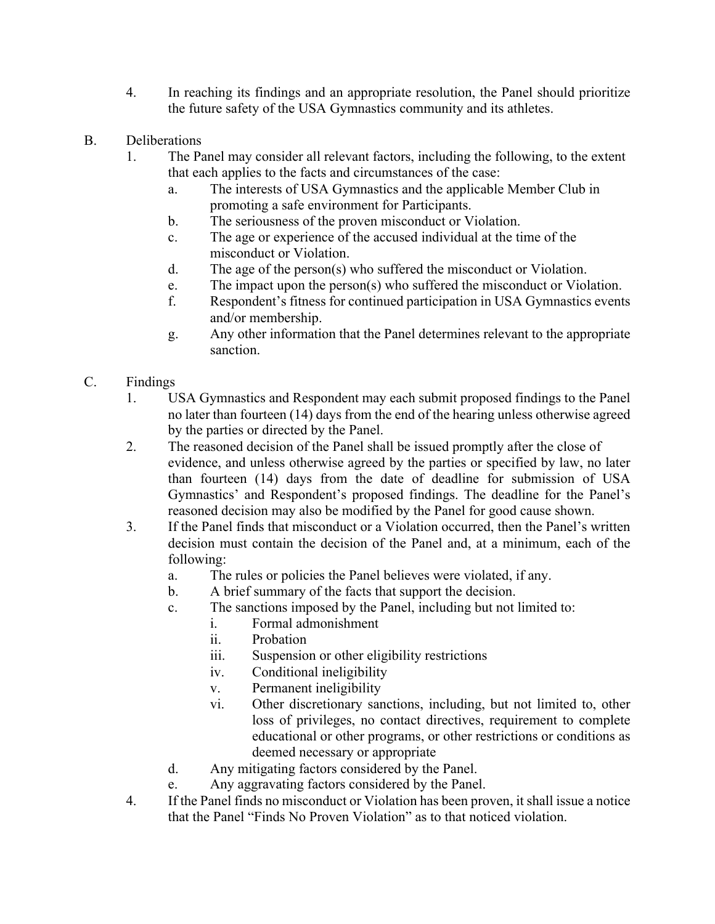- 4. In reaching its findings and an appropriate resolution, the Panel should prioritize the future safety of the USA Gymnastics community and its athletes.
- B. Deliberations
	- 1. The Panel may consider all relevant factors, including the following, to the extent that each applies to the facts and circumstances of the case:
		- a. The interests of USA Gymnastics and the applicable Member Club in promoting a safe environment for Participants.
		- b. The seriousness of the proven misconduct or Violation.
		- c. The age or experience of the accused individual at the time of the misconduct or Violation.
		- d. The age of the person(s) who suffered the misconduct or Violation.
		- e. The impact upon the person(s) who suffered the misconduct or Violation.
		- f. Respondent's fitness for continued participation in USA Gymnastics events and/or membership.
		- g. Any other information that the Panel determines relevant to the appropriate sanction.
- C. Findings
	- 1. USA Gymnastics and Respondent may each submit proposed findings to the Panel no later than fourteen (14) days from the end of the hearing unless otherwise agreed by the parties or directed by the Panel.
	- 2. The reasoned decision of the Panel shall be issued promptly after the close of evidence, and unless otherwise agreed by the parties or specified by law, no later than fourteen (14) days from the date of deadline for submission of USA Gymnastics' and Respondent's proposed findings. The deadline for the Panel's reasoned decision may also be modified by the Panel for good cause shown.
	- 3. If the Panel finds that misconduct or a Violation occurred, then the Panel's written decision must contain the decision of the Panel and, at a minimum, each of the following:
		- a. The rules or policies the Panel believes were violated, if any.
		- b. A brief summary of the facts that support the decision.
		- c. The sanctions imposed by the Panel, including but not limited to:
			- i. Formal admonishment
			- ii. Probation
			- iii. Suspension or other eligibility restrictions
			- iv. Conditional ineligibility
			- v. Permanent ineligibility
			- vi. Other discretionary sanctions, including, but not limited to, other loss of privileges, no contact directives, requirement to complete educational or other programs, or other restrictions or conditions as deemed necessary or appropriate
		- d. Any mitigating factors considered by the Panel.
		- e. Any aggravating factors considered by the Panel.
	- 4. If the Panel finds no misconduct or Violation has been proven, it shall issue a notice that the Panel "Finds No Proven Violation" as to that noticed violation.